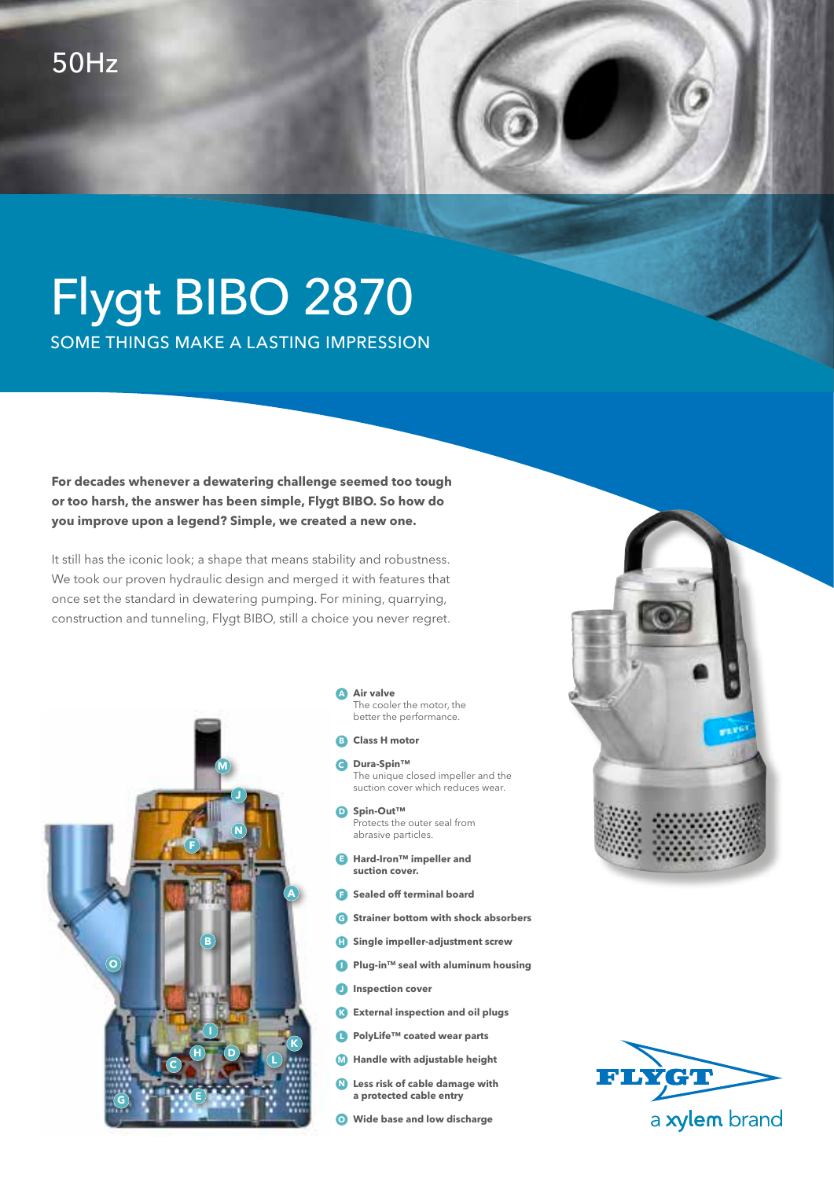## Flygt BIBO 2870 SOME THINGS MAKE A LASTING IMPRESSION

**For decades whenever a dewatering challenge seemed too tough or too harsh, the answer has been simple, Flygt BIBO. So how do you improve upon a legend? Simple, we created a new one.** 

It still has the iconic look; a shape that means stability and robustness. We took our proven hydraulic design and merged it with features that once set the standard in dewatering pumping. For mining, quarrying, construction and tunneling, Flygt BIBO, still a choice you never regret.



**Air valve A** The cooler the motor, the better the performance.

- **B** Class H motor
- **Dura-Spin™ C** The unique closed impeller and the suction cover which reduces wear.
- **Spin-Out™ D** Protects the outer seal from abrasive particles.
- **Hard-Iron™ impeller and E suction cover.**
- **F** Sealed off terminal board
- **Strainer bottom with shock absorbers G**
- **H** Single impeller-adjustment screw
- **Plug-in™ seal with aluminum housing**
- **Inspection cover**
- **External inspection and oil plugs K**
- **PolyLife™ coated wear parts**
- **Handle with adjustable height M**
- **Less risk of cable damage with N a protected cable entry**
- **Wide base and low discharge O**